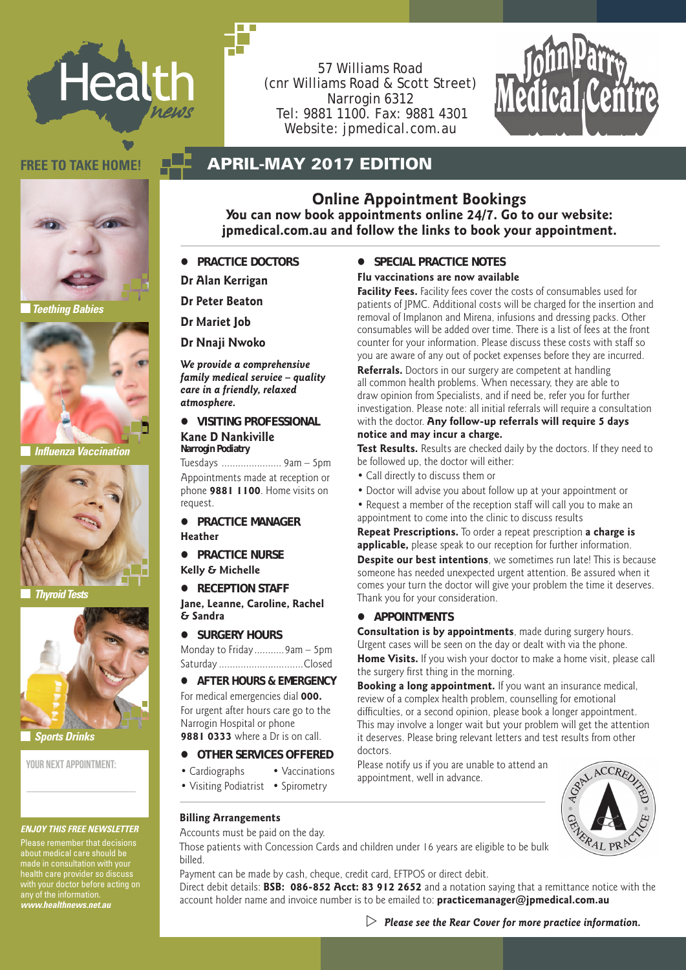

57 Williams Road (cnr Williams Road & Scott Street) Narrogin 6312 Tel: 9881 1100. Fax: 9881 4301 Website: jpmedical.com.au



### **FREE TO TAKE HOME! APRIL-MAY 2017 EDITION**



*Teething Babies*



 *Influenza Vaccination*



 *Thyroid Tests*



 *Sports Drinks*

YOUR NEXT APPOINTMENT-

### *ENJOY THIS FREE NEWSLETTER*

Please remember that decisions about medical care should be made in consultation with your health care provider so discuss with your doctor before acting on any of the information. *www.healthnews.net.au*

**Online Appointment Bookings You can now book appointments online 24/7. Go to our website: jpmedical.com.au and follow the links to book your appointment.**

- **PRACTICE DOCTORS**
- **Dr Alan Kerrigan**
- **Dr Peter Beaton**

**Dr Mariet Job**

**Dr Nnaji Nwoko**

*We provide a comprehensive family medical service – quality care in a friendly, relaxed atmosphere.*

**Kane D Nankiville Narrogin Podiatry**

Tuesdays ...................... 9am – 5pm Appointments made at reception or phone **9881 1100**. Home visits on request.

- **PRACTICE MANAGER Heather**
- 
- **Kelly & Michelle**
- 

**Jane, Leanne, Caroline, Rachel & Sandra**

 **Surgery Hours**

Monday to Friday...........9am – 5pm Saturday ...............................Closed

 $\bullet$  AFTER HOURS & EMERGENCY For medical emergencies dial **000.** 

For urgent after hours care go to the Narrogin Hospital or phone **9881 0333** where a Dr is on call.

- $\bullet$  OTHER SERVICES OFFERED
- Cardiographs Vaccinations
- Visiting Podiatrist Spirometry

### **Billing Arrangements**

Accounts must be paid on the day.

Those patients with Concession Cards and children under 16 years are eligible to be bulk billed.

Payment can be made by cash, cheque, credit card, EFTPOS or direct debit.

Direct debit details: **BSB: 086-852 Acct: 83 912 2652** and a notation saying that a remittance notice with the account holder name and invoice number is to be emailed to: **practicemanager@jpmedical.com.au**

### **SPECIAL PRACTICE NOTES**

### **Flu vaccinations are now available**

**Facility Fees.** Facility fees cover the costs of consumables used for patients of JPMC. Additional costs will be charged for the insertion and removal of Implanon and Mirena, infusions and dressing packs. Other consumables will be added over time. There is a list of fees at the front counter for your information. Please discuss these costs with staff so you are aware of any out of pocket expenses before they are incurred.

 **Visiting professional** with the doctor. **Any follow-up referrals will require 5 days Referrals.** Doctors in our surgery are competent at handling all common health problems. When necessary, they are able to draw opinion from Specialists, and if need be, refer you for further investigation. Please note: all initial referrals will require a consultation **notice and may incur a charge.**

> **Test Results.** Results are checked daily by the doctors. If they need to be followed up, the doctor will either:

- Call directly to discuss them or
- Doctor will advise you about follow up at your appointment or
- Request a member of the reception staff will call you to make an appointment to come into the clinic to discuss results

**Repeat Prescriptions.** To order a repeat prescription **a charge is applicable,** please speak to our reception for further information.

**PRACTICE NURSE Despite our best intentions**, we sometimes run late! This is because ● **RECEPTION STAFF** comes your turn the doctor will give your problem the time it deserves. someone has needed unexpected urgent attention. Be assured when it Thank you for your consideration.

### **Appointments**

**Consultation is by appointments**, made during surgery hours. Urgent cases will be seen on the day or dealt with via the phone.

**Home Visits.** If you wish your doctor to make a home visit, please call the surgery first thing in the morning.

**Booking a long appointment.** If you want an insurance medical, review of a complex health problem, counselling for emotional difficulties, or a second opinion, please book a longer appointment. This may involve a longer wait but your problem will get the attention it deserves. Please bring relevant letters and test results from other doctors.

Please notify us if you are unable to attend an appointment, well in advance.

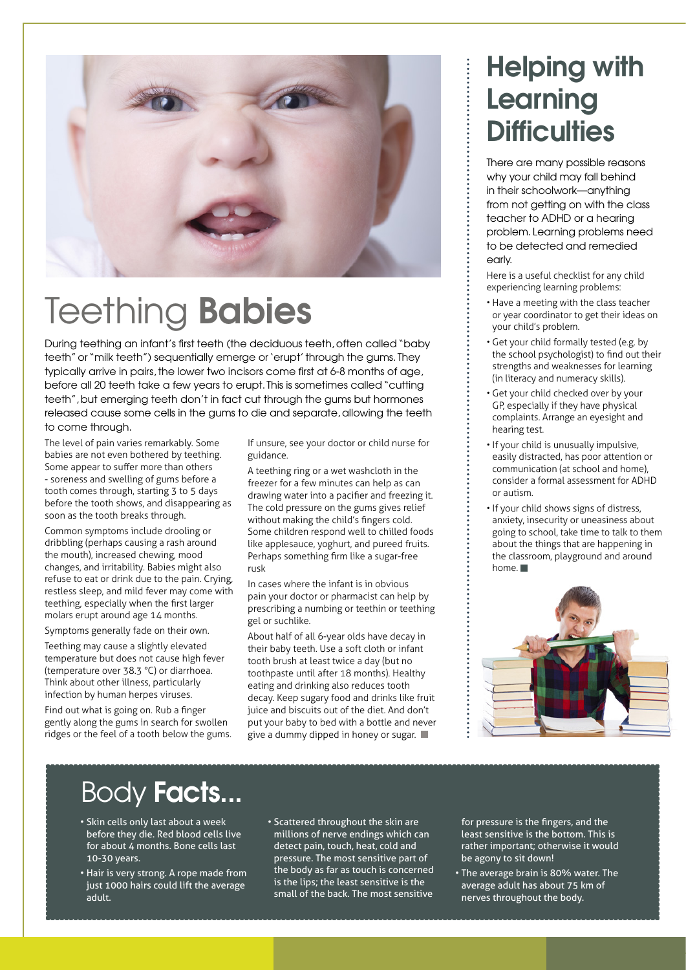

# Teething Babies

During teething an infant's first teeth (the deciduous teeth, often called "baby teeth" or "milk teeth") sequentially emerge or 'erupt' through the gums. They typically arrive in pairs, the lower two incisors come first at 6-8 months of age, before all 20 teeth take a few years to erupt. This is sometimes called "cutting teeth", but emerging teeth don't in fact cut through the gums but hormones released cause some cells in the gums to die and separate, allowing the teeth to come through.

The level of pain varies remarkably. Some babies are not even bothered by teething. Some appear to suffer more than others - soreness and swelling of gums before a tooth comes through, starting 3 to 5 days before the tooth shows, and disappearing as soon as the tooth breaks through.

Common symptoms include drooling or dribbling (perhaps causing a rash around the mouth), increased chewing, mood changes, and irritability. Babies might also refuse to eat or drink due to the pain. Crying, restless sleep, and mild fever may come with teething, especially when the first larger molars erupt around age 14 months.

Symptoms generally fade on their own.

Teething may cause a slightly elevated temperature but does not cause high fever (temperature over 38.3 °C) or diarrhoea. Think about other illness, particularly infection by human herpes viruses.

Find out what is going on. Rub a finger gently along the gums in search for swollen ridges or the feel of a tooth below the gums. If unsure, see your doctor or child nurse for guidance.

A teething ring or a wet washcloth in the freezer for a few minutes can help as can drawing water into a pacifier and freezing it. The cold pressure on the gums gives relief without making the child's fingers cold. Some children respond well to chilled foods like applesauce, yoghurt, and pureed fruits. Perhaps something firm like a sugar-free rusk

In cases where the infant is in obvious pain your doctor or pharmacist can help by prescribing a numbing or teethin or teething gel or suchlike.

About half of all 6-year olds have decay in their baby teeth. Use a soft cloth or infant tooth brush at least twice a day (but no toothpaste until after 18 months). Healthy eating and drinking also reduces tooth decay. Keep sugary food and drinks like fruit juice and biscuits out of the diet. And don't put your baby to bed with a bottle and never give a dummy dipped in honey or sugar.

### Helping with Learning **Difficulties**

There are many possible reasons why your child may fall behind in their schoolwork—anything from not getting on with the class teacher to ADHD or a hearing problem. Learning problems need to be detected and remedied early

Here is a useful checklist for any child experiencing learning problems:

- Have a meeting with the class teacher or year coordinator to get their ideas on your child's problem.
- Get your child formally tested (e.g. by the school psychologist) to find out their strengths and weaknesses for learning (in literacy and numeracy skills).
- Get your child checked over by your GP, especially if they have physical complaints. Arrange an eyesight and hearing test.
- If your child is unusually impulsive, easily distracted, has poor attention or communication (at school and home), consider a formal assessment for ADHD or autism.
- If your child shows signs of distress, anxiety, insecurity or uneasiness about going to school, take time to talk to them about the things that are happening in the classroom, playground and around home.



### Body Facts...

- Skin cells only last about a week before they die. Red blood cells live for about 4 months. Bone cells last 10-30 years.
- Hair is very strong. A rope made from just 1000 hairs could lift the average adult.
- Scattered throughout the skin are millions of nerve endings which can detect pain, touch, heat, cold and pressure. The most sensitive part of the body as far as touch is concerned is the lips; the least sensitive is the small of the back. The most sensitive

for pressure is the fingers, and the least sensitive is the bottom. This is rather important; otherwise it would be agony to sit down!

• The average brain is 80% water. The average adult has about 75 km of nerves throughout the body.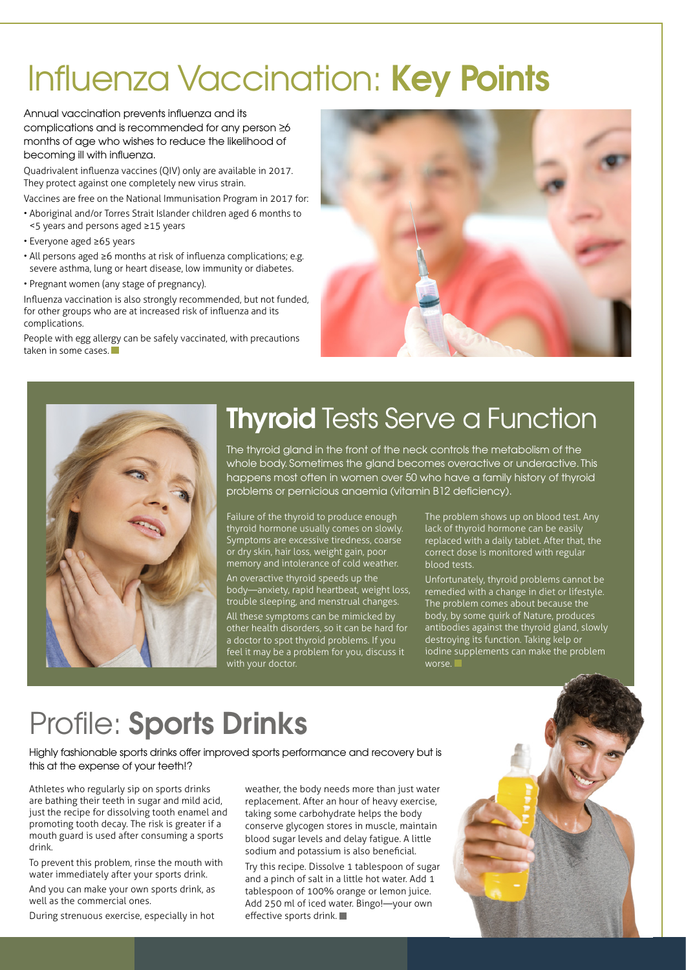# Influenza Vaccination: Key Points

Annual vaccination prevents influenza and its complications and is recommended for any person  $\geq 6$ months of age who wishes to reduce the likelihood of becoming ill with influenza.

Quadrivalent influenza vaccines (QIV) only are available in 2017. They protect against one completely new virus strain.

Vaccines are free on the National Immunisation Program in 2017 for:

- Aboriginal and/or Torres Strait Islander children aged 6 months to <5 years and persons aged ≥15 years
- Everyone aged ≥65 years
- All persons aged ≥6 months at risk of influenza complications; e.g. severe asthma, lung or heart disease, low immunity or diabetes.
- Pregnant women (any stage of pregnancy).

Influenza vaccination is also strongly recommended, but not funded, for other groups who are at increased risk of influenza and its complications.

People with egg allergy can be safely vaccinated, with precautions taken in some cases.





### **Thyroid Tests Serve a Function**

The thyroid gland in the front of the neck controls the metabolism of the whole body. Sometimes the gland becomes overactive or underactive. This happens most often in women over 50 who have a family history of thyroid problems or pernicious anaemia (vitamin B12 deficiency).

Failure of the thyroid to produce enough thyroid hormone usually comes on slowly. Symptoms are excessive tiredness, coarse or dry skin, hair loss, weight gain, poor memory and intolerance of cold weather.

An overactive thyroid speeds up the body—anxiety, rapid heartbeat, weight loss, trouble sleeping, and menstrual changes.

All these symptoms can be mimicked by other health disorders, so it can be hard for a doctor to spot thyroid problems. If you feel it may be a problem for you, discuss it with your doctor.

The problem shows up on blood test. Any lack of thyroid hormone can be easily replaced with a daily tablet. After that, the correct dose is monitored with regular blood tests.

Unfortunately, thyroid problems cannot be remedied with a change in diet or lifestyle. The problem comes about because the body, by some quirk of Nature, produces antibodies against the thyroid gland, slowly destroying its function. Taking kelp or iodine supplements can make the problem worse.

## Profile: Sports Drinks

Highly fashionable sports drinks offer improved sports performance and recovery but is this at the expense of your teeth!?

Athletes who regularly sip on sports drinks are bathing their teeth in sugar and mild acid, just the recipe for dissolving tooth enamel and promoting tooth decay. The risk is greater if a mouth guard is used after consuming a sports drink.

To prevent this problem, rinse the mouth with water immediately after your sports drink.

And you can make your own sports drink, as well as the commercial ones.

During strenuous exercise, especially in hot

weather, the body needs more than just water replacement. After an hour of heavy exercise, taking some carbohydrate helps the body conserve glycogen stores in muscle, maintain blood sugar levels and delay fatigue. A little sodium and potassium is also beneficial.

Try this recipe. Dissolve 1 tablespoon of sugar and a pinch of salt in a little hot water. Add 1 tablespoon of 100% orange or lemon juice. Add 250 ml of iced water. Bingo!—your own effective sports drink.